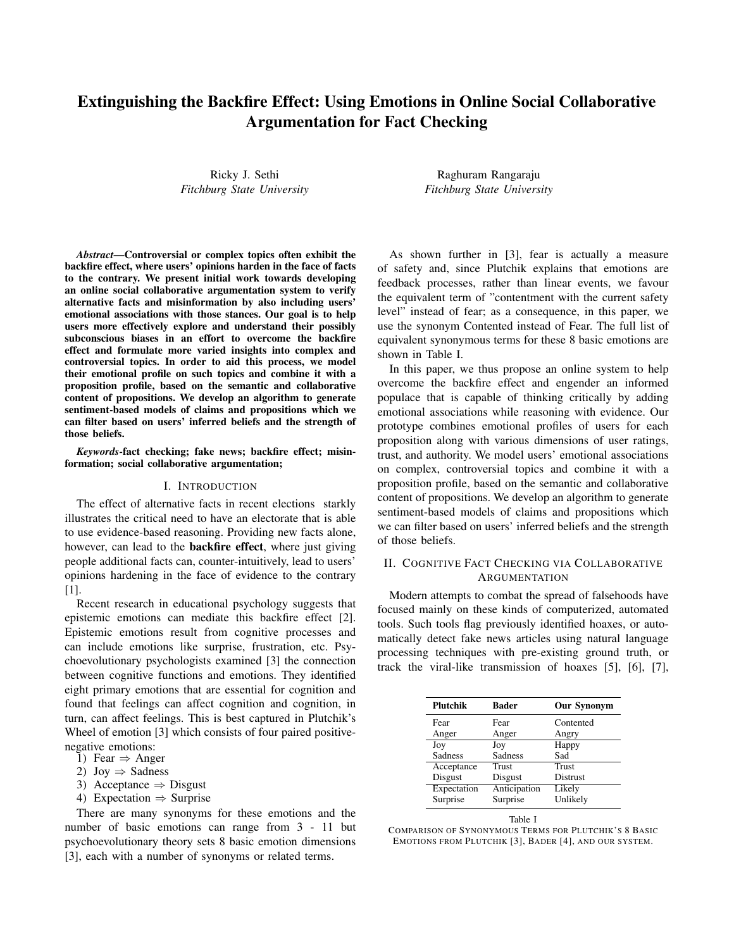# Extinguishing the Backfire Effect: Using Emotions in Online Social Collaborative Argumentation for Fact Checking

Ricky J. Sethi *Fitchburg State University*

*Abstract*—Controversial or complex topics often exhibit the backfire effect, where users' opinions harden in the face of facts to the contrary. We present initial work towards developing an online social collaborative argumentation system to verify alternative facts and misinformation by also including users' emotional associations with those stances. Our goal is to help users more effectively explore and understand their possibly subconscious biases in an effort to overcome the backfire effect and formulate more varied insights into complex and controversial topics. In order to aid this process, we model their emotional profile on such topics and combine it with a proposition profile, based on the semantic and collaborative content of propositions. We develop an algorithm to generate sentiment-based models of claims and propositions which we can filter based on users' inferred beliefs and the strength of those beliefs.

*Keywords*-fact checking; fake news; backfire effect; misinformation; social collaborative argumentation;

#### I. INTRODUCTION

The effect of alternative facts in recent elections starkly illustrates the critical need to have an electorate that is able to use evidence-based reasoning. Providing new facts alone, however, can lead to the **backfire effect**, where just giving people additional facts can, counter-intuitively, lead to users' opinions hardening in the face of evidence to the contrary [1].

Recent research in educational psychology suggests that epistemic emotions can mediate this backfire effect [2]. Epistemic emotions result from cognitive processes and can include emotions like surprise, frustration, etc. Psychoevolutionary psychologists examined [3] the connection between cognitive functions and emotions. They identified eight primary emotions that are essential for cognition and found that feelings can affect cognition and cognition, in turn, can affect feelings. This is best captured in Plutchik's Wheel of emotion [3] which consists of four paired positivenegative emotions:

- 1) Fear  $\Rightarrow$  Anger
- 2) Joy  $\Rightarrow$  Sadness
- 3) Acceptance  $\Rightarrow$  Disgust
- 4) Expectation  $\Rightarrow$  Surprise

There are many synonyms for these emotions and the number of basic emotions can range from 3 - 11 but psychoevolutionary theory sets 8 basic emotion dimensions [3], each with a number of synonyms or related terms.

Raghuram Rangaraju *Fitchburg State University*

As shown further in [3], fear is actually a measure of safety and, since Plutchik explains that emotions are feedback processes, rather than linear events, we favour the equivalent term of "contentment with the current safety level" instead of fear; as a consequence, in this paper, we use the synonym Contented instead of Fear. The full list of equivalent synonymous terms for these 8 basic emotions are shown in Table I.

In this paper, we thus propose an online system to help overcome the backfire effect and engender an informed populace that is capable of thinking critically by adding emotional associations while reasoning with evidence. Our prototype combines emotional profiles of users for each proposition along with various dimensions of user ratings, trust, and authority. We model users' emotional associations on complex, controversial topics and combine it with a proposition profile, based on the semantic and collaborative content of propositions. We develop an algorithm to generate sentiment-based models of claims and propositions which we can filter based on users' inferred beliefs and the strength of those beliefs.

# II. COGNITIVE FACT CHECKING VIA COLLABORATIVE ARGUMENTATION

Modern attempts to combat the spread of falsehoods have focused mainly on these kinds of computerized, automated tools. Such tools flag previously identified hoaxes, or automatically detect fake news articles using natural language processing techniques with pre-existing ground truth, or track the viral-like transmission of hoaxes [5], [6], [7],

| <b>Plutchik</b> | <b>Bader</b>   | <b>Our Synonym</b> |
|-----------------|----------------|--------------------|
| Fear            | Fear           | Contented          |
| Anger           | Anger          | Angry              |
| Joy             | Joy            | Happy              |
| <b>Sadness</b>  | <b>Sadness</b> | Sad                |
| Acceptance      | Trust          | <b>Trust</b>       |
| Disgust         | Disgust        | Distrust           |
| Expectation     | Anticipation   | Likely             |
| Surprise        | Surprise       | Unlikely           |



COMPARISON OF SYNONYMOUS TERMS FOR PLUTCHIK'S 8 BASIC EMOTIONS FROM PLUTCHIK [3], BADER [4], AND OUR SYSTEM.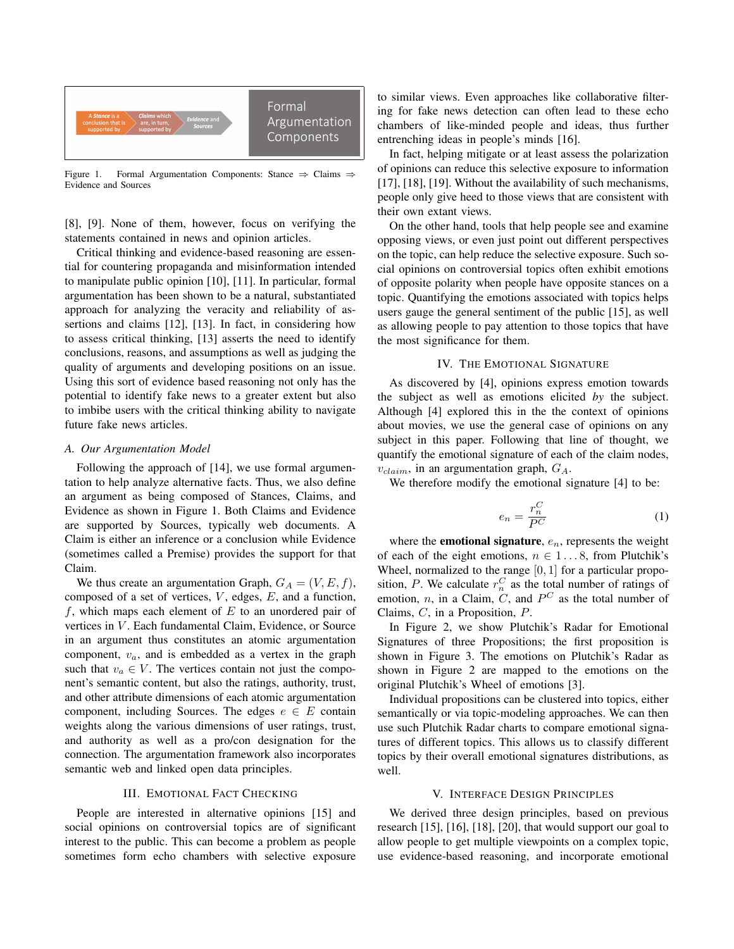

Figure 1. Formal Argumentation Components: Stance  $\Rightarrow$  Claims  $\Rightarrow$ Evidence and Sources

[8], [9]. None of them, however, focus on verifying the statements contained in news and opinion articles.

Critical thinking and evidence-based reasoning are essential for countering propaganda and misinformation intended to manipulate public opinion [10], [11]. In particular, formal argumentation has been shown to be a natural, substantiated approach for analyzing the veracity and reliability of assertions and claims [12], [13]. In fact, in considering how to assess critical thinking, [13] asserts the need to identify conclusions, reasons, and assumptions as well as judging the quality of arguments and developing positions on an issue. Using this sort of evidence based reasoning not only has the potential to identify fake news to a greater extent but also to imbibe users with the critical thinking ability to navigate future fake news articles.

### *A. Our Argumentation Model*

Following the approach of [14], we use formal argumentation to help analyze alternative facts. Thus, we also define an argument as being composed of Stances, Claims, and Evidence as shown in Figure 1. Both Claims and Evidence are supported by Sources, typically web documents. A Claim is either an inference or a conclusion while Evidence (sometimes called a Premise) provides the support for that Claim.

We thus create an argumentation Graph,  $G_A = (V, E, f)$ , composed of a set of vertices,  $V$ , edges,  $E$ , and a function,  $f$ , which maps each element of  $E$  to an unordered pair of vertices in V. Each fundamental Claim, Evidence, or Source in an argument thus constitutes an atomic argumentation component,  $v_a$ , and is embedded as a vertex in the graph such that  $v_a \in V$ . The vertices contain not just the component's semantic content, but also the ratings, authority, trust, and other attribute dimensions of each atomic argumentation component, including Sources. The edges  $e \in E$  contain weights along the various dimensions of user ratings, trust, and authority as well as a pro/con designation for the connection. The argumentation framework also incorporates semantic web and linked open data principles.

#### III. EMOTIONAL FACT CHECKING

People are interested in alternative opinions [15] and social opinions on controversial topics are of significant interest to the public. This can become a problem as people sometimes form echo chambers with selective exposure to similar views. Even approaches like collaborative filtering for fake news detection can often lead to these echo chambers of like-minded people and ideas, thus further entrenching ideas in people's minds [16].

In fact, helping mitigate or at least assess the polarization of opinions can reduce this selective exposure to information [17], [18], [19]. Without the availability of such mechanisms, people only give heed to those views that are consistent with their own extant views.

On the other hand, tools that help people see and examine opposing views, or even just point out different perspectives on the topic, can help reduce the selective exposure. Such social opinions on controversial topics often exhibit emotions of opposite polarity when people have opposite stances on a topic. Quantifying the emotions associated with topics helps users gauge the general sentiment of the public [15], as well as allowing people to pay attention to those topics that have the most significance for them.

#### IV. THE EMOTIONAL SIGNATURE

As discovered by [4], opinions express emotion towards the subject as well as emotions elicited *by* the subject. Although [4] explored this in the the context of opinions about movies, we use the general case of opinions on any subject in this paper. Following that line of thought, we quantify the emotional signature of each of the claim nodes,  $v_{claim}$ , in an argumentation graph,  $G_A$ .

We therefore modify the emotional signature [4] to be:

$$
e_n = \frac{r_n^C}{P^C} \tag{1}
$$

where the **emotional signature**,  $e_n$ , represents the weight of each of the eight emotions,  $n \in 1...8$ , from Plutchik's Wheel, normalized to the range  $[0, 1]$  for a particular proposition, P. We calculate  $r_n^C$  as the total number of ratings of emotion, *n*, in a Claim,  $\hat{C}$ , and  $P^C$  as the total number of Claims, C, in a Proposition, P.

In Figure 2, we show Plutchik's Radar for Emotional Signatures of three Propositions; the first proposition is shown in Figure 3. The emotions on Plutchik's Radar as shown in Figure 2 are mapped to the emotions on the original Plutchik's Wheel of emotions [3].

Individual propositions can be clustered into topics, either semantically or via topic-modeling approaches. We can then use such Plutchik Radar charts to compare emotional signatures of different topics. This allows us to classify different topics by their overall emotional signatures distributions, as well.

## V. INTERFACE DESIGN PRINCIPLES

We derived three design principles, based on previous research [15], [16], [18], [20], that would support our goal to allow people to get multiple viewpoints on a complex topic, use evidence-based reasoning, and incorporate emotional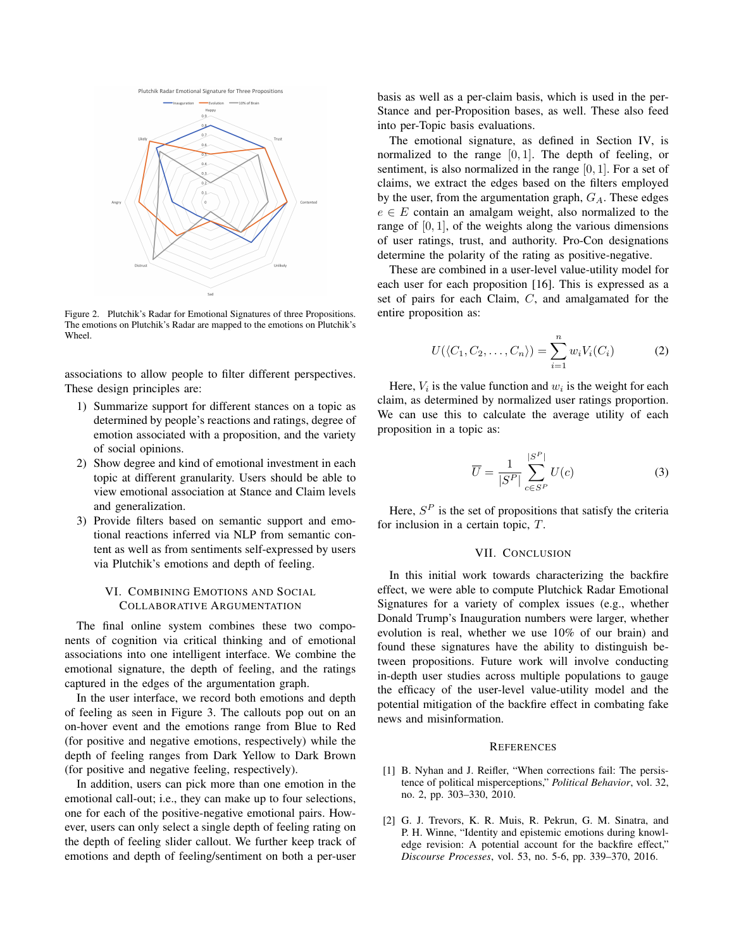

Figure 2. Plutchik's Radar for Emotional Signatures of three Propositions. The emotions on Plutchik's Radar are mapped to the emotions on Plutchik's Wheel.

associations to allow people to filter different perspectives. These design principles are:

- 1) Summarize support for different stances on a topic as determined by people's reactions and ratings, degree of emotion associated with a proposition, and the variety of social opinions.
- 2) Show degree and kind of emotional investment in each topic at different granularity. Users should be able to view emotional association at Stance and Claim levels and generalization.
- 3) Provide filters based on semantic support and emotional reactions inferred via NLP from semantic content as well as from sentiments self-expressed by users via Plutchik's emotions and depth of feeling.

# VI. COMBINING EMOTIONS AND SOCIAL COLLABORATIVE ARGUMENTATION

The final online system combines these two components of cognition via critical thinking and of emotional associations into one intelligent interface. We combine the emotional signature, the depth of feeling, and the ratings captured in the edges of the argumentation graph.

In the user interface, we record both emotions and depth of feeling as seen in Figure 3. The callouts pop out on an on-hover event and the emotions range from Blue to Red (for positive and negative emotions, respectively) while the depth of feeling ranges from Dark Yellow to Dark Brown (for positive and negative feeling, respectively).

In addition, users can pick more than one emotion in the emotional call-out; i.e., they can make up to four selections, one for each of the positive-negative emotional pairs. However, users can only select a single depth of feeling rating on the depth of feeling slider callout. We further keep track of emotions and depth of feeling/sentiment on both a per-user basis as well as a per-claim basis, which is used in the per-Stance and per-Proposition bases, as well. These also feed into per-Topic basis evaluations.

The emotional signature, as defined in Section IV, is normalized to the range  $[0, 1]$ . The depth of feeling, or sentiment, is also normalized in the range [0, 1]. For a set of claims, we extract the edges based on the filters employed by the user, from the argumentation graph,  $G_A$ . These edges  $e \in E$  contain an amalgam weight, also normalized to the range of  $[0, 1]$ , of the weights along the various dimensions of user ratings, trust, and authority. Pro-Con designations determine the polarity of the rating as positive-negative.

These are combined in a user-level value-utility model for each user for each proposition [16]. This is expressed as a set of pairs for each Claim, C, and amalgamated for the entire proposition as:

$$
U(\langle C_1, C_2, \dots, C_n \rangle) = \sum_{i=1}^n w_i V_i(C_i)
$$
 (2)

Here,  $V_i$  is the value function and  $w_i$  is the weight for each claim, as determined by normalized user ratings proportion. We can use this to calculate the average utility of each proposition in a topic as:

$$
\overline{U} = \frac{1}{|S^P|} \sum_{c \in S^P}^{|S^P|} U(c)
$$
 (3)

Here,  $S<sup>P</sup>$  is the set of propositions that satisfy the criteria for inclusion in a certain topic, T.

## VII. CONCLUSION

In this initial work towards characterizing the backfire effect, we were able to compute Plutchick Radar Emotional Signatures for a variety of complex issues (e.g., whether Donald Trump's Inauguration numbers were larger, whether evolution is real, whether we use 10% of our brain) and found these signatures have the ability to distinguish between propositions. Future work will involve conducting in-depth user studies across multiple populations to gauge the efficacy of the user-level value-utility model and the potential mitigation of the backfire effect in combating fake news and misinformation.

#### **REFERENCES**

- [1] B. Nyhan and J. Reifler, "When corrections fail: The persistence of political misperceptions," *Political Behavior*, vol. 32, no. 2, pp. 303–330, 2010.
- [2] G. J. Trevors, K. R. Muis, R. Pekrun, G. M. Sinatra, and P. H. Winne, "Identity and epistemic emotions during knowledge revision: A potential account for the backfire effect," *Discourse Processes*, vol. 53, no. 5-6, pp. 339–370, 2016.